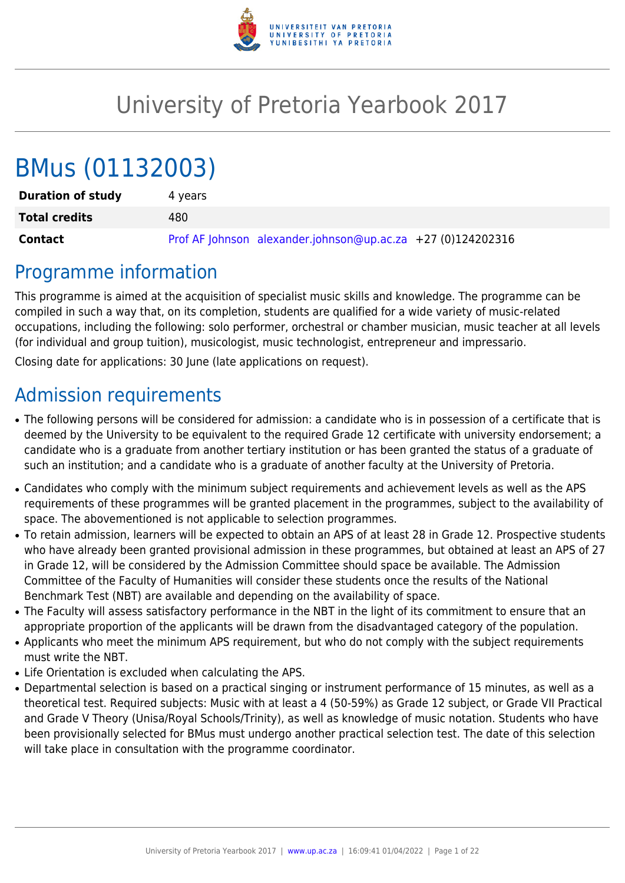

# University of Pretoria Yearbook 2017

# BMus (01132003)

| <b>Duration of study</b> | 4 vears                                                     |
|--------------------------|-------------------------------------------------------------|
| <b>Total credits</b>     | 480.                                                        |
| Contact                  | Prof AF Johnson alexander.johnson@up.ac.za +27 (0)124202316 |

## Programme information

This programme is aimed at the acquisition of specialist music skills and knowledge. The programme can be compiled in such a way that, on its completion, students are qualified for a wide variety of music-related occupations, including the following: solo performer, orchestral or chamber musician, music teacher at all levels (for individual and group tuition), musicologist, music technologist, entrepreneur and impressario.

Closing date for applications: 30 June (late applications on request).

## Admission requirements

- The following persons will be considered for admission: a candidate who is in possession of a certificate that is deemed by the University to be equivalent to the required Grade 12 certificate with university endorsement; a candidate who is a graduate from another tertiary institution or has been granted the status of a graduate of such an institution; and a candidate who is a graduate of another faculty at the University of Pretoria.
- Candidates who comply with the minimum subject requirements and achievement levels as well as the APS requirements of these programmes will be granted placement in the programmes, subject to the availability of space. The abovementioned is not applicable to selection programmes.
- To retain admission, learners will be expected to obtain an APS of at least 28 in Grade 12. Prospective students who have already been granted provisional admission in these programmes, but obtained at least an APS of 27 in Grade 12, will be considered by the Admission Committee should space be available. The Admission Committee of the Faculty of Humanities will consider these students once the results of the National Benchmark Test (NBT) are available and depending on the availability of space.
- The Faculty will assess satisfactory performance in the NBT in the light of its commitment to ensure that an appropriate proportion of the applicants will be drawn from the disadvantaged category of the population.
- Applicants who meet the minimum APS requirement, but who do not comply with the subject requirements must write the NBT.
- Life Orientation is excluded when calculating the APS.
- Departmental selection is based on a practical singing or instrument performance of 15 minutes, as well as a theoretical test. Required subjects: Music with at least a 4 (50-59%) as Grade 12 subject, or Grade VII Practical and Grade V Theory (Unisa/Royal Schools/Trinity), as well as knowledge of music notation. Students who have been provisionally selected for BMus must undergo another practical selection test. The date of this selection will take place in consultation with the programme coordinator.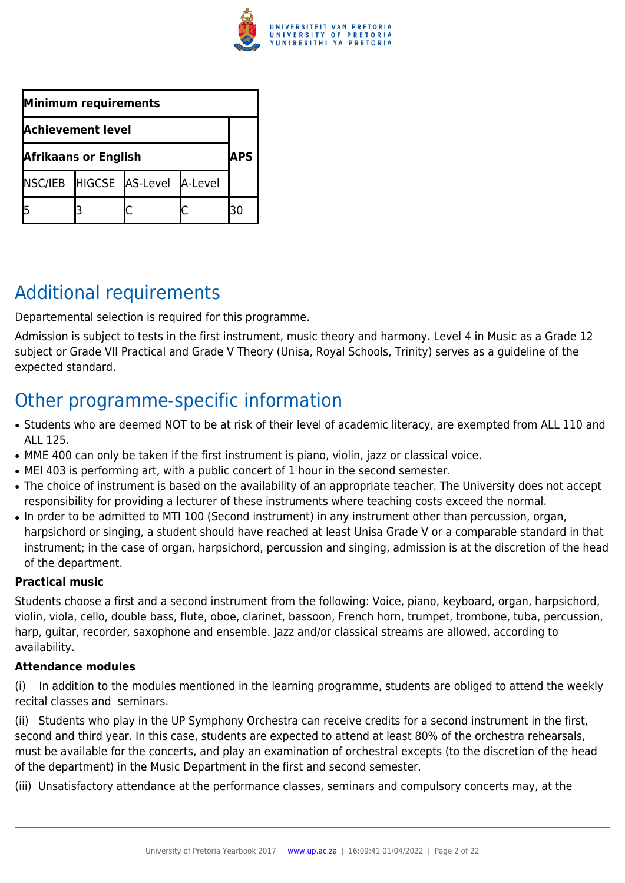

| Minimum requirements        |  |                                 |            |    |
|-----------------------------|--|---------------------------------|------------|----|
| <b>Achievement level</b>    |  |                                 |            |    |
| <b>Afrikaans or English</b> |  |                                 | <b>APS</b> |    |
|                             |  | NSC/IEB HIGCSE AS-Level A-Level |            |    |
|                             |  |                                 |            | 30 |

## Additional requirements

Departemental selection is required for this programme.

Admission is subject to tests in the first instrument, music theory and harmony. Level 4 in Music as a Grade 12 subject or Grade VII Practical and Grade V Theory (Unisa, Royal Schools, Trinity) serves as a guideline of the expected standard.

## Other programme-specific information

- Students who are deemed NOT to be at risk of their level of academic literacy, are exempted from ALL 110 and ALL 125.
- MME 400 can only be taken if the first instrument is piano, violin, jazz or classical voice.
- MEI 403 is performing art, with a public concert of 1 hour in the second semester.
- The choice of instrument is based on the availability of an appropriate teacher. The University does not accept responsibility for providing a lecturer of these instruments where teaching costs exceed the normal.
- In order to be admitted to MTI 100 (Second instrument) in any instrument other than percussion, organ, harpsichord or singing, a student should have reached at least Unisa Grade V or a comparable standard in that instrument; in the case of organ, harpsichord, percussion and singing, admission is at the discretion of the head of the department.

### **Practical music**

Students choose a first and a second instrument from the following: Voice, piano, keyboard, organ, harpsichord, violin, viola, cello, double bass, flute, oboe, clarinet, bassoon, French horn, trumpet, trombone, tuba, percussion, harp, guitar, recorder, saxophone and ensemble. Jazz and/or classical streams are allowed, according to availability.

### **Attendance modules**

(i) In addition to the modules mentioned in the learning programme, students are obliged to attend the weekly recital classes and seminars.

(ii) Students who play in the UP Symphony Orchestra can receive credits for a second instrument in the first, second and third year. In this case, students are expected to attend at least 80% of the orchestra rehearsals, must be available for the concerts, and play an examination of orchestral excepts (to the discretion of the head of the department) in the Music Department in the first and second semester.

(iii) Unsatisfactory attendance at the performance classes, seminars and compulsory concerts may, at the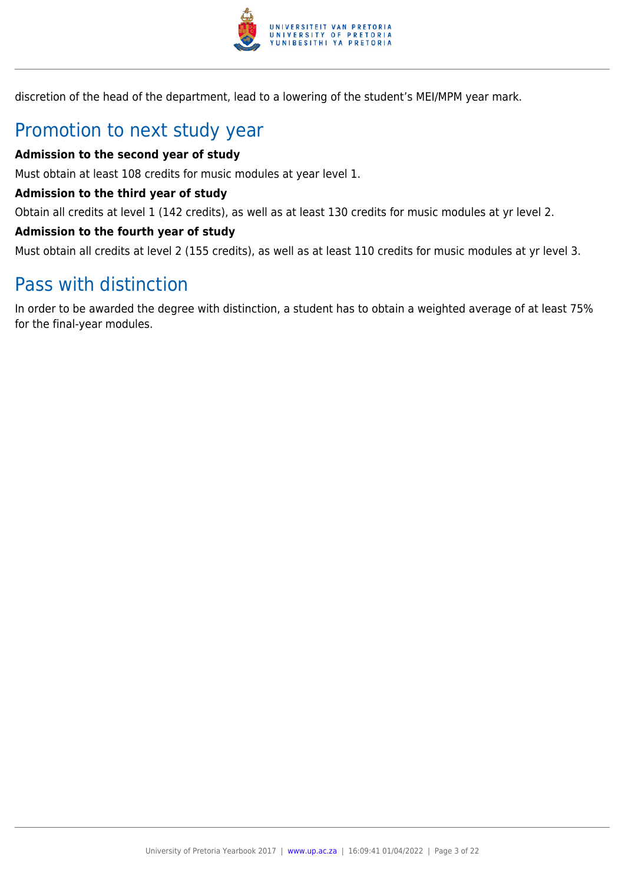

discretion of the head of the department, lead to a lowering of the student's MEI/MPM year mark.

## Promotion to next study year

### **Admission to the second year of study**

Must obtain at least 108 credits for music modules at year level 1.

### **Admission to the third year of study**

Obtain all credits at level 1 (142 credits), as well as at least 130 credits for music modules at yr level 2.

### **Admission to the fourth year of study**

Must obtain all credits at level 2 (155 credits), as well as at least 110 credits for music modules at yr level 3.

## Pass with distinction

In order to be awarded the degree with distinction, a student has to obtain a weighted average of at least 75% for the final-year modules.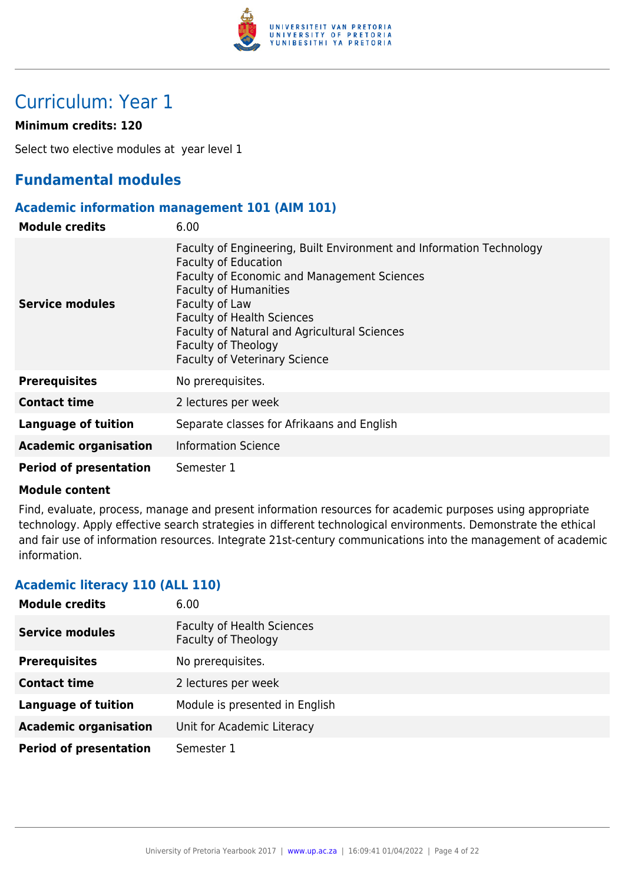

## Curriculum: Year 1

### **Minimum credits: 120**

Select two elective modules at year level 1

### **Fundamental modules**

### **Academic information management 101 (AIM 101)**

| <b>Module credits</b>         | 6.00                                                                                                                                                                                                                                                                                                                                                     |
|-------------------------------|----------------------------------------------------------------------------------------------------------------------------------------------------------------------------------------------------------------------------------------------------------------------------------------------------------------------------------------------------------|
| <b>Service modules</b>        | Faculty of Engineering, Built Environment and Information Technology<br><b>Faculty of Education</b><br>Faculty of Economic and Management Sciences<br><b>Faculty of Humanities</b><br>Faculty of Law<br><b>Faculty of Health Sciences</b><br>Faculty of Natural and Agricultural Sciences<br>Faculty of Theology<br><b>Faculty of Veterinary Science</b> |
| <b>Prerequisites</b>          | No prerequisites.                                                                                                                                                                                                                                                                                                                                        |
| <b>Contact time</b>           | 2 lectures per week                                                                                                                                                                                                                                                                                                                                      |
| <b>Language of tuition</b>    | Separate classes for Afrikaans and English                                                                                                                                                                                                                                                                                                               |
| <b>Academic organisation</b>  | <b>Information Science</b>                                                                                                                                                                                                                                                                                                                               |
| <b>Period of presentation</b> | Semester 1                                                                                                                                                                                                                                                                                                                                               |

### **Module content**

Find, evaluate, process, manage and present information resources for academic purposes using appropriate technology. Apply effective search strategies in different technological environments. Demonstrate the ethical and fair use of information resources. Integrate 21st-century communications into the management of academic information.

### **Academic literacy 110 (ALL 110)**

| <b>Module credits</b>         | 6.00                                                     |
|-------------------------------|----------------------------------------------------------|
| <b>Service modules</b>        | <b>Faculty of Health Sciences</b><br>Faculty of Theology |
| <b>Prerequisites</b>          | No prerequisites.                                        |
| <b>Contact time</b>           | 2 lectures per week                                      |
| <b>Language of tuition</b>    | Module is presented in English                           |
| <b>Academic organisation</b>  | Unit for Academic Literacy                               |
| <b>Period of presentation</b> | Semester 1                                               |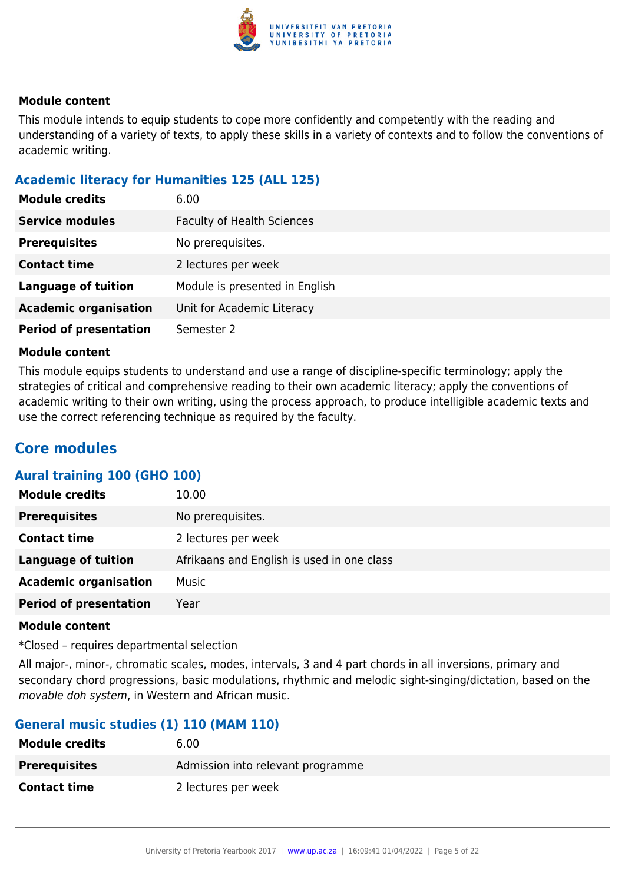

This module intends to equip students to cope more confidently and competently with the reading and understanding of a variety of texts, to apply these skills in a variety of contexts and to follow the conventions of academic writing.

### **Academic literacy for Humanities 125 (ALL 125)**

| <b>Module credits</b>         | 6.00                              |
|-------------------------------|-----------------------------------|
| <b>Service modules</b>        | <b>Faculty of Health Sciences</b> |
| <b>Prerequisites</b>          | No prerequisites.                 |
| <b>Contact time</b>           | 2 lectures per week               |
| <b>Language of tuition</b>    | Module is presented in English    |
| <b>Academic organisation</b>  | Unit for Academic Literacy        |
| <b>Period of presentation</b> | Semester 2                        |

### **Module content**

This module equips students to understand and use a range of discipline-specific terminology; apply the strategies of critical and comprehensive reading to their own academic literacy; apply the conventions of academic writing to their own writing, using the process approach, to produce intelligible academic texts and use the correct referencing technique as required by the faculty.

### **Core modules**

### **Aural training 100 (GHO 100)**

| <b>Module credits</b>         | 10.00                                      |
|-------------------------------|--------------------------------------------|
| <b>Prerequisites</b>          | No prerequisites.                          |
| <b>Contact time</b>           | 2 lectures per week                        |
| <b>Language of tuition</b>    | Afrikaans and English is used in one class |
| <b>Academic organisation</b>  | Music                                      |
| <b>Period of presentation</b> | Year                                       |

### **Module content**

\*Closed – requires departmental selection

All major-, minor-, chromatic scales, modes, intervals, 3 and 4 part chords in all inversions, primary and secondary chord progressions, basic modulations, rhythmic and melodic sight-singing/dictation, based on the movable doh system, in Western and African music.

### **General music studies (1) 110 (MAM 110)**

| <b>Module credits</b> | 6.00                              |
|-----------------------|-----------------------------------|
| <b>Prerequisites</b>  | Admission into relevant programme |
| <b>Contact time</b>   | 2 lectures per week               |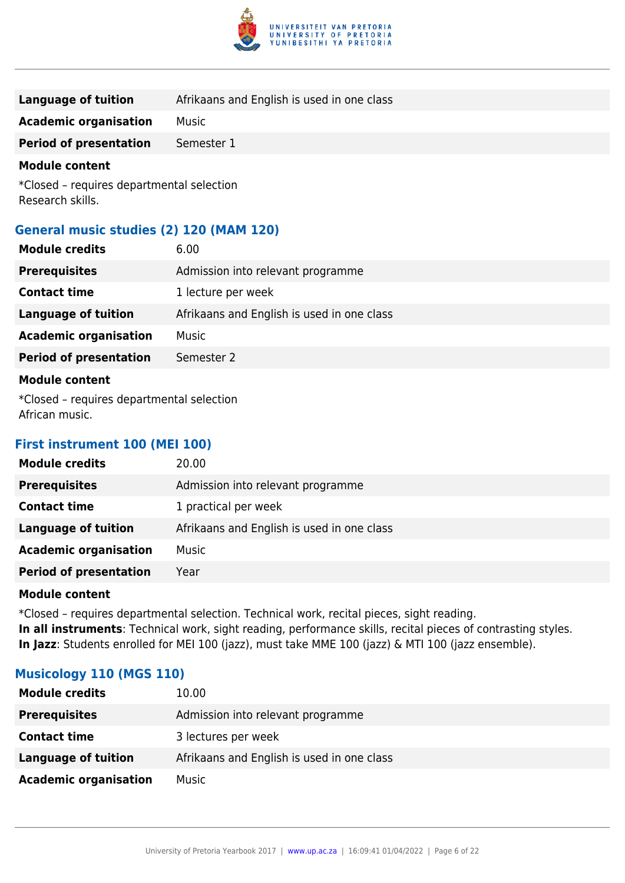

| Language of tuition           | Afrikaans and English is used in one class |
|-------------------------------|--------------------------------------------|
| <b>Academic organisation</b>  | Music                                      |
| <b>Period of presentation</b> | Semester 1                                 |

\*Closed – requires departmental selection Research skills.

### **General music studies (2) 120 (MAM 120)**

| <b>Module credits</b>                     | 6.00                                       |
|-------------------------------------------|--------------------------------------------|
| <b>Prerequisites</b>                      | Admission into relevant programme          |
| <b>Contact time</b>                       | 1 lecture per week                         |
| <b>Language of tuition</b>                | Afrikaans and English is used in one class |
| <b>Academic organisation</b>              | Music                                      |
| <b>Period of presentation</b>             | Semester 2                                 |
| <b>Module content</b>                     |                                            |
| *Closed – requires departmental selection |                                            |

African music.

### **First instrument 100 (MEI 100)**

| <b>Module credits</b>         | 20.00                                      |
|-------------------------------|--------------------------------------------|
| <b>Prerequisites</b>          | Admission into relevant programme          |
| <b>Contact time</b>           | 1 practical per week                       |
| <b>Language of tuition</b>    | Afrikaans and English is used in one class |
| <b>Academic organisation</b>  | Music                                      |
| <b>Period of presentation</b> | Year                                       |
|                               |                                            |

### **Module content**

\*Closed – requires departmental selection. Technical work, recital pieces, sight reading. **In all instruments**: Technical work, sight reading, performance skills, recital pieces of contrasting styles. **In Jazz**: Students enrolled for MEI 100 (jazz), must take MME 100 (jazz) & MTI 100 (jazz ensemble).

### **Musicology 110 (MGS 110)**

| <b>Module credits</b>        | 10.00                                      |
|------------------------------|--------------------------------------------|
| <b>Prerequisites</b>         | Admission into relevant programme          |
| <b>Contact time</b>          | 3 lectures per week                        |
| Language of tuition          | Afrikaans and English is used in one class |
| <b>Academic organisation</b> | Music                                      |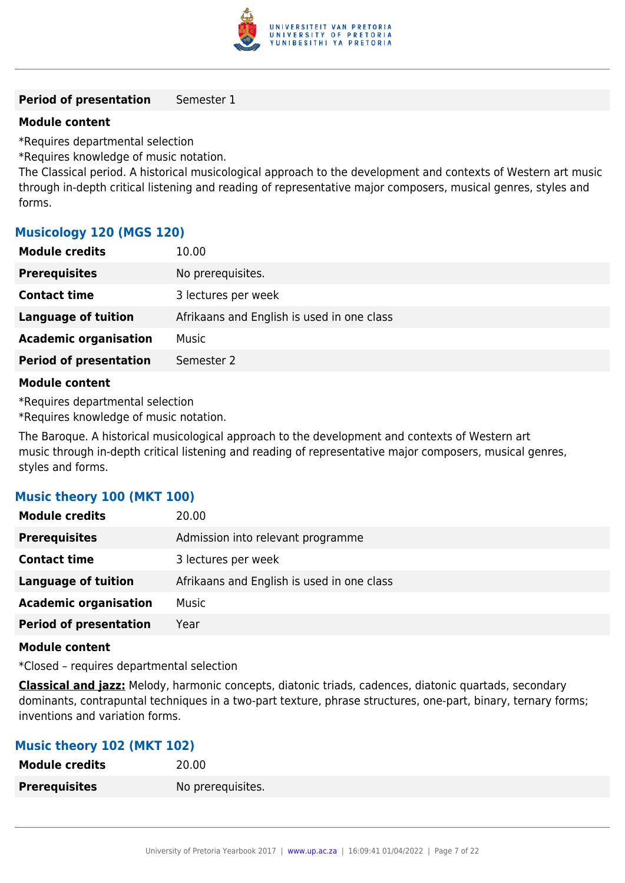

### **Period of presentation** Semester 1

### **Module content**

\*Requires departmental selection

\*Requires knowledge of music notation.

The Classical period. A historical musicological approach to the development and contexts of Western art music through in-depth critical listening and reading of representative major composers, musical genres, styles and forms.

### **Musicology 120 (MGS 120)**

| <b>Module credits</b>         | 10.00                                      |
|-------------------------------|--------------------------------------------|
| <b>Prerequisites</b>          | No prerequisites.                          |
| <b>Contact time</b>           | 3 lectures per week                        |
| <b>Language of tuition</b>    | Afrikaans and English is used in one class |
| <b>Academic organisation</b>  | Music                                      |
| <b>Period of presentation</b> | Semester 2                                 |
|                               |                                            |

### **Module content**

\*Requires departmental selection

\*Requires knowledge of music notation.

The Baroque. A historical musicological approach to the development and contexts of Western art music through in-depth critical listening and reading of representative major composers, musical genres, styles and forms.

### **Music theory 100 (MKT 100)**

| <b>Module credits</b>         | 20.00                                      |
|-------------------------------|--------------------------------------------|
| <b>Prerequisites</b>          | Admission into relevant programme          |
| <b>Contact time</b>           | 3 lectures per week                        |
| <b>Language of tuition</b>    | Afrikaans and English is used in one class |
| <b>Academic organisation</b>  | Music                                      |
| <b>Period of presentation</b> | Year                                       |

### **Module content**

\*Closed – requires departmental selection

**Classical and jazz:** Melody, harmonic concepts, diatonic triads, cadences, diatonic quartads, secondary dominants, contrapuntal techniques in a two-part texture, phrase structures, one-part, binary, ternary forms; inventions and variation forms.

### **Music theory 102 (MKT 102)**

| <b>Module credits</b> | 20.00             |
|-----------------------|-------------------|
| <b>Prerequisites</b>  | No prerequisites. |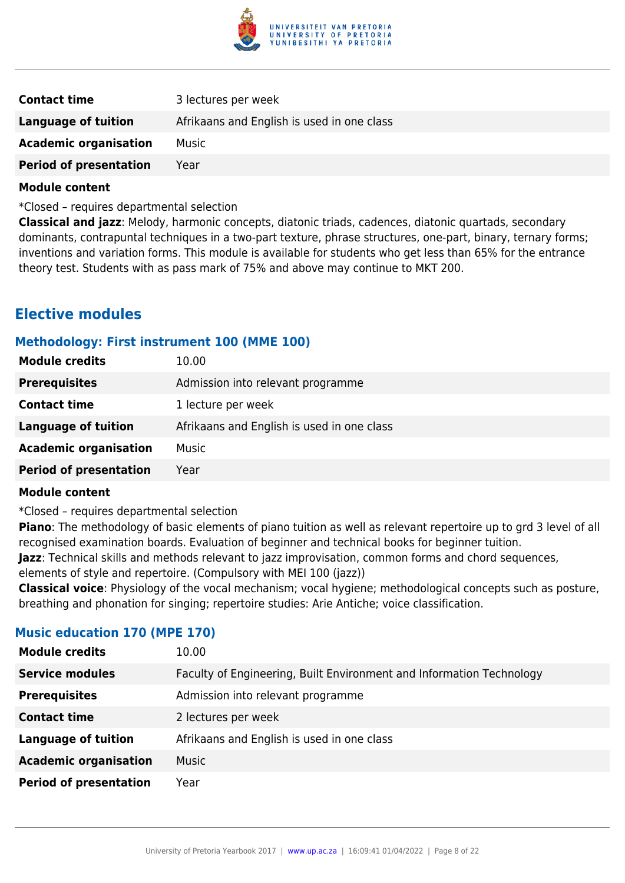

| <b>Contact time</b>           | 3 lectures per week                        |
|-------------------------------|--------------------------------------------|
| Language of tuition           | Afrikaans and English is used in one class |
| <b>Academic organisation</b>  | Music                                      |
| <b>Period of presentation</b> | Year                                       |

\*Closed – requires departmental selection

**Classical and jazz**: Melody, harmonic concepts, diatonic triads, cadences, diatonic quartads, secondary dominants, contrapuntal techniques in a two-part texture, phrase structures, one-part, binary, ternary forms; inventions and variation forms. This module is available for students who get less than 65% for the entrance theory test. Students with as pass mark of 75% and above may continue to MKT 200.

### **Elective modules**

### **Methodology: First instrument 100 (MME 100)**

| <b>Module credits</b>         | 10.00                                      |
|-------------------------------|--------------------------------------------|
| <b>Prerequisites</b>          | Admission into relevant programme          |
| <b>Contact time</b>           | 1 lecture per week                         |
| <b>Language of tuition</b>    | Afrikaans and English is used in one class |
| <b>Academic organisation</b>  | <b>Music</b>                               |
| <b>Period of presentation</b> | Year                                       |

### **Module content**

\*Closed – requires departmental selection

**Piano**: The methodology of basic elements of piano tuition as well as relevant repertoire up to grd 3 level of all recognised examination boards. Evaluation of beginner and technical books for beginner tuition.

**Jazz**: Technical skills and methods relevant to jazz improvisation, common forms and chord sequences,

elements of style and repertoire. (Compulsory with MEI 100 (jazz))

**Classical voice**: Physiology of the vocal mechanism; vocal hygiene; methodological concepts such as posture, breathing and phonation for singing; repertoire studies: Arie Antiche; voice classification.

### **Music education 170 (MPE 170)**

| <b>Module credits</b>         | 10.00                                                                |
|-------------------------------|----------------------------------------------------------------------|
| <b>Service modules</b>        | Faculty of Engineering, Built Environment and Information Technology |
| <b>Prerequisites</b>          | Admission into relevant programme                                    |
| <b>Contact time</b>           | 2 lectures per week                                                  |
| <b>Language of tuition</b>    | Afrikaans and English is used in one class                           |
| <b>Academic organisation</b>  | <b>Music</b>                                                         |
| <b>Period of presentation</b> | Year                                                                 |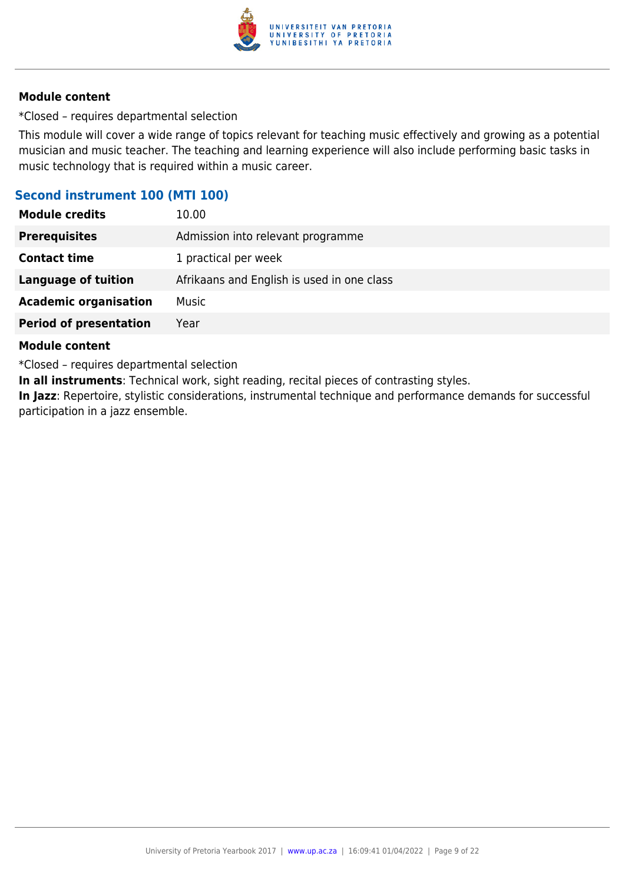

\*Closed – requires departmental selection

This module will cover a wide range of topics relevant for teaching music effectively and growing as a potential musician and music teacher. The teaching and learning experience will also include performing basic tasks in music technology that is required within a music career.

### **Second instrument 100 (MTI 100)**

| <b>Module credits</b>         | 10.00                                      |
|-------------------------------|--------------------------------------------|
| <b>Prerequisites</b>          | Admission into relevant programme          |
| <b>Contact time</b>           | 1 practical per week                       |
| <b>Language of tuition</b>    | Afrikaans and English is used in one class |
| <b>Academic organisation</b>  | Music                                      |
| <b>Period of presentation</b> | Year                                       |

### **Module content**

\*Closed – requires departmental selection

**In all instruments**: Technical work, sight reading, recital pieces of contrasting styles.

**In Jazz**: Repertoire, stylistic considerations, instrumental technique and performance demands for successful participation in a jazz ensemble.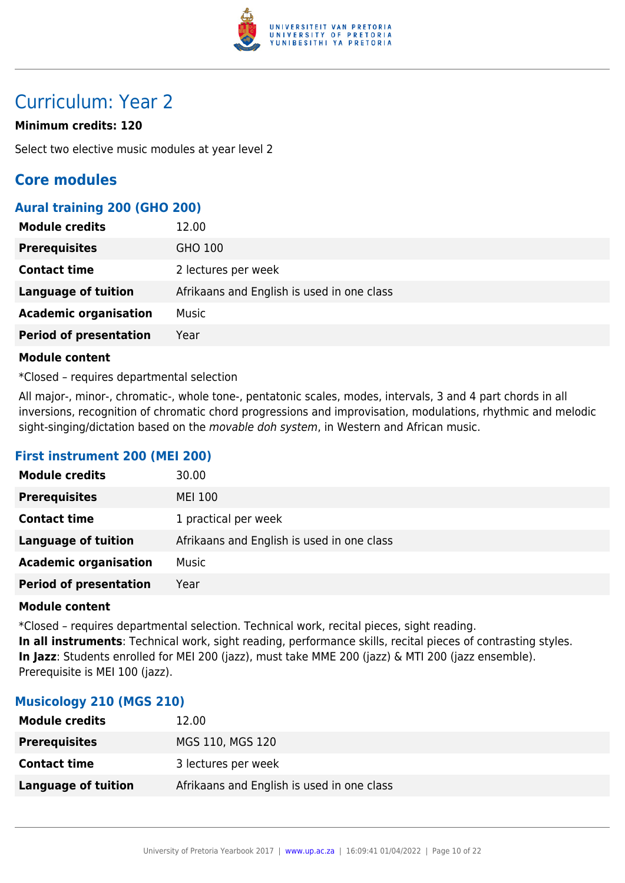

## Curriculum: Year 2

### **Minimum credits: 120**

Select two elective music modules at year level 2

### **Core modules**

### **Aural training 200 (GHO 200)**

| <b>Module credits</b>         | 12.00                                      |
|-------------------------------|--------------------------------------------|
| <b>Prerequisites</b>          | GHO 100                                    |
| <b>Contact time</b>           | 2 lectures per week                        |
| <b>Language of tuition</b>    | Afrikaans and English is used in one class |
| <b>Academic organisation</b>  | <b>Music</b>                               |
| <b>Period of presentation</b> | Year                                       |

### **Module content**

\*Closed – requires departmental selection

All major-, minor-, chromatic-, whole tone-, pentatonic scales, modes, intervals, 3 and 4 part chords in all inversions, recognition of chromatic chord progressions and improvisation, modulations, rhythmic and melodic sight-singing/dictation based on the movable doh system, in Western and African music.

### **First instrument 200 (MEI 200)**

| <b>Module credits</b>         | 30.00                                      |
|-------------------------------|--------------------------------------------|
| <b>Prerequisites</b>          | <b>MEI 100</b>                             |
| <b>Contact time</b>           | 1 practical per week                       |
| <b>Language of tuition</b>    | Afrikaans and English is used in one class |
| <b>Academic organisation</b>  | <b>Music</b>                               |
| <b>Period of presentation</b> | Year                                       |

### **Module content**

\*Closed – requires departmental selection. Technical work, recital pieces, sight reading. **In all instruments**: Technical work, sight reading, performance skills, recital pieces of contrasting styles. **In Jazz**: Students enrolled for MEI 200 (jazz), must take MME 200 (jazz) & MTI 200 (jazz ensemble). Prerequisite is MEI 100 (jazz).

### **Musicology 210 (MGS 210)**

| <b>Module credits</b> | 12.00                                      |
|-----------------------|--------------------------------------------|
| <b>Prerequisites</b>  | MGS 110, MGS 120                           |
| <b>Contact time</b>   | 3 lectures per week                        |
| Language of tuition   | Afrikaans and English is used in one class |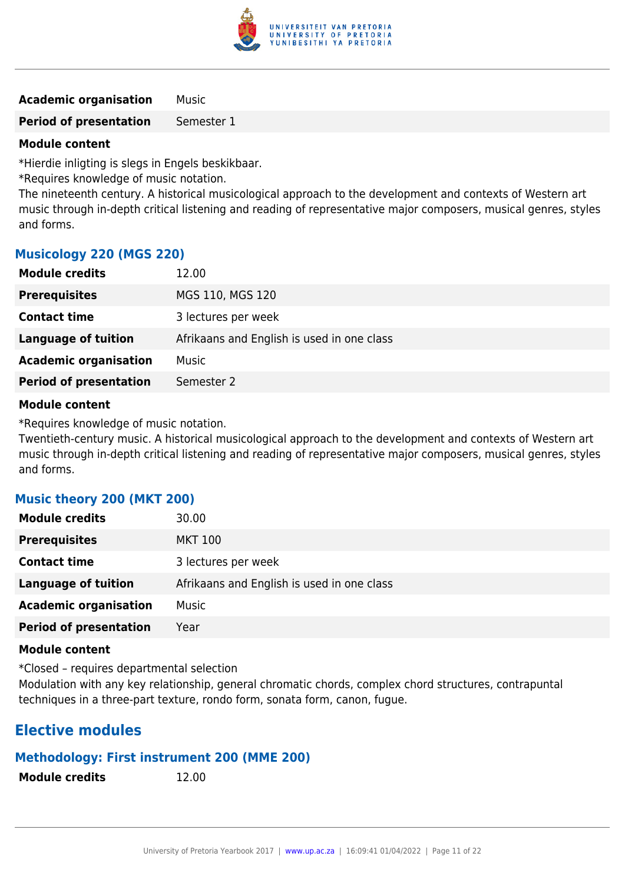

**Academic organisation** Music

**Period of presentation** Semester 1

### **Module content**

\*Hierdie inligting is slegs in Engels beskikbaar.

\*Requires knowledge of music notation.

The nineteenth century. A historical musicological approach to the development and contexts of Western art music through in-depth critical listening and reading of representative major composers, musical genres, styles and forms.

### **Musicology 220 (MGS 220)**

| <b>Module credits</b>         | 12.00                                      |
|-------------------------------|--------------------------------------------|
| <b>Prerequisites</b>          | MGS 110, MGS 120                           |
| <b>Contact time</b>           | 3 lectures per week                        |
| Language of tuition           | Afrikaans and English is used in one class |
| <b>Academic organisation</b>  | Music                                      |
| <b>Period of presentation</b> | Semester 2                                 |

### **Module content**

\*Requires knowledge of music notation.

Twentieth-century music. A historical musicological approach to the development and contexts of Western art music through in-depth critical listening and reading of representative major composers, musical genres, styles and forms.

### **Music theory 200 (MKT 200)**

| <b>Module credits</b>         | 30.00                                      |
|-------------------------------|--------------------------------------------|
| <b>Prerequisites</b>          | <b>MKT 100</b>                             |
| <b>Contact time</b>           | 3 lectures per week                        |
| <b>Language of tuition</b>    | Afrikaans and English is used in one class |
| <b>Academic organisation</b>  | Music                                      |
| <b>Period of presentation</b> | Year                                       |

### **Module content**

\*Closed – requires departmental selection

Modulation with any key relationship, general chromatic chords, complex chord structures, contrapuntal techniques in a three-part texture, rondo form, sonata form, canon, fugue.

### **Elective modules**

### **Methodology: First instrument 200 (MME 200)**

**Module credits** 12.00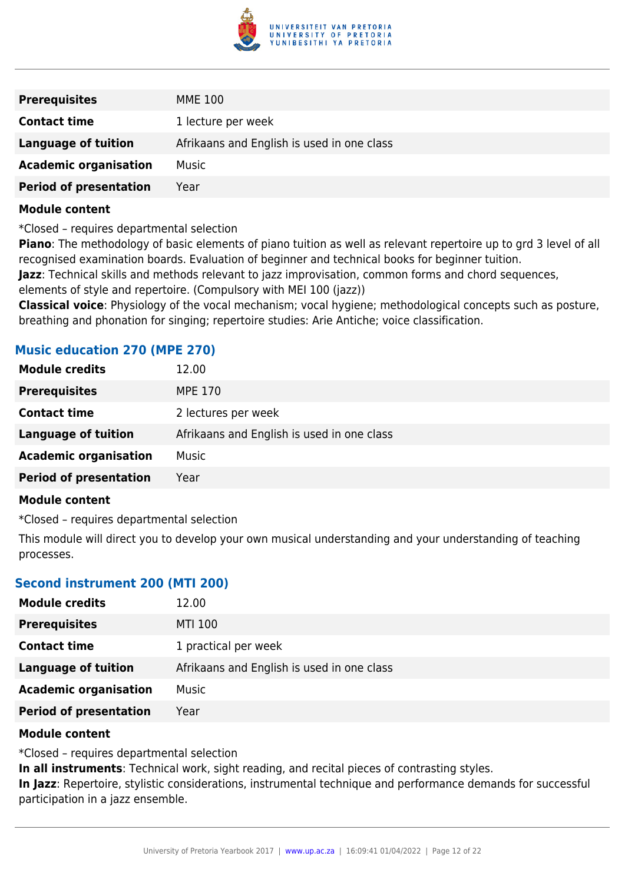

| <b>Prerequisites</b>          | MME 100                                    |
|-------------------------------|--------------------------------------------|
| <b>Contact time</b>           | 1 lecture per week                         |
| <b>Language of tuition</b>    | Afrikaans and English is used in one class |
| <b>Academic organisation</b>  | Music                                      |
| <b>Period of presentation</b> | Year                                       |

\*Closed – requires departmental selection

**Piano**: The methodology of basic elements of piano tuition as well as relevant repertoire up to grd 3 level of all recognised examination boards. Evaluation of beginner and technical books for beginner tuition.

**Jazz**: Technical skills and methods relevant to jazz improvisation, common forms and chord sequences,

elements of style and repertoire. (Compulsory with MEI 100 (jazz))

**Classical voice**: Physiology of the vocal mechanism; vocal hygiene; methodological concepts such as posture, breathing and phonation for singing; repertoire studies: Arie Antiche; voice classification.

### **Music education 270 (MPE 270)**

| <b>Module credits</b>         | 12.00                                      |
|-------------------------------|--------------------------------------------|
| <b>Prerequisites</b>          | <b>MPE 170</b>                             |
| <b>Contact time</b>           | 2 lectures per week                        |
| Language of tuition           | Afrikaans and English is used in one class |
| <b>Academic organisation</b>  | Music                                      |
| <b>Period of presentation</b> | Year                                       |
|                               |                                            |

### **Module content**

\*Closed – requires departmental selection

This module will direct you to develop your own musical understanding and your understanding of teaching processes.

### **Second instrument 200 (MTI 200)**

| <b>Module credits</b>         | 12.00                                      |
|-------------------------------|--------------------------------------------|
| <b>Prerequisites</b>          | <b>MTI 100</b>                             |
| <b>Contact time</b>           | 1 practical per week                       |
| <b>Language of tuition</b>    | Afrikaans and English is used in one class |
| <b>Academic organisation</b>  | <b>Music</b>                               |
| <b>Period of presentation</b> | Year                                       |

### **Module content**

\*Closed – requires departmental selection

**In all instruments**: Technical work, sight reading, and recital pieces of contrasting styles.

**In Jazz**: Repertoire, stylistic considerations, instrumental technique and performance demands for successful participation in a jazz ensemble.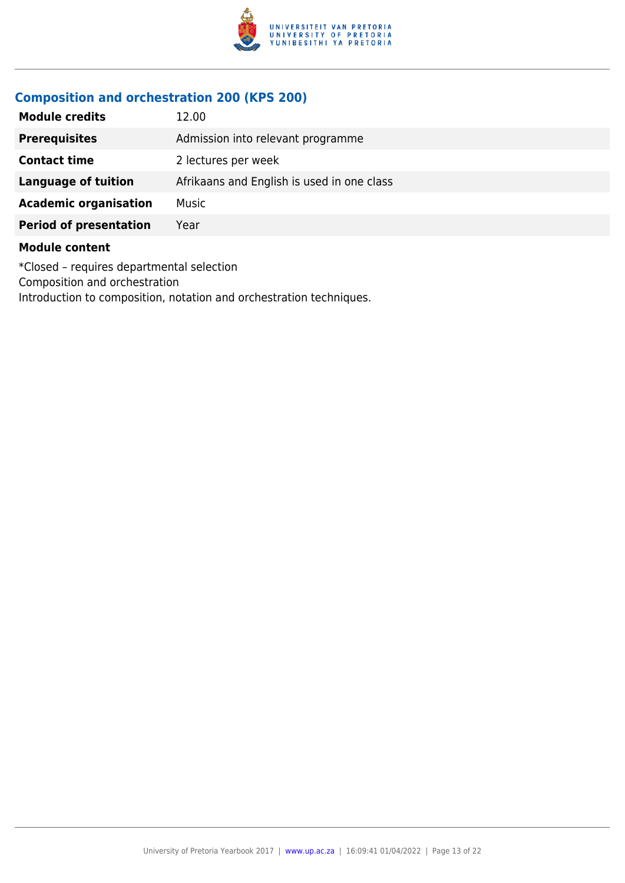

### **Composition and orchestration 200 (KPS 200)**

| <b>Module credits</b>         | 12.00                                      |
|-------------------------------|--------------------------------------------|
| <b>Prerequisites</b>          | Admission into relevant programme          |
| <b>Contact time</b>           | 2 lectures per week                        |
| <b>Language of tuition</b>    | Afrikaans and English is used in one class |
| <b>Academic organisation</b>  | Music                                      |
| <b>Period of presentation</b> | Year                                       |
| <b>Module content</b>         |                                            |

\*Closed – requires departmental selection Composition and orchestration Introduction to composition, notation and orchestration techniques.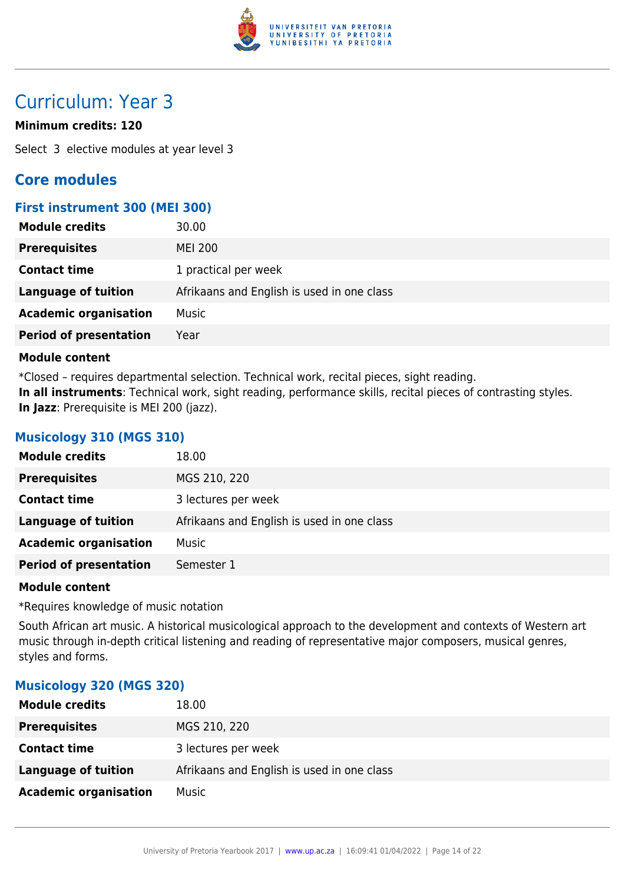

## Curriculum: Year 3

### **Minimum credits: 120**

Select 3 elective modules at year level 3

### **Core modules**

### **First instrument 300 (MEI 300)**

| <b>Module credits</b>         | 30.00                                      |
|-------------------------------|--------------------------------------------|
| <b>Prerequisites</b>          | <b>MEI 200</b>                             |
| <b>Contact time</b>           | 1 practical per week                       |
| <b>Language of tuition</b>    | Afrikaans and English is used in one class |
| <b>Academic organisation</b>  | Music                                      |
| <b>Period of presentation</b> | Year                                       |

### **Module content**

\*Closed – requires departmental selection. Technical work, recital pieces, sight reading. **In all instruments**: Technical work, sight reading, performance skills, recital pieces of contrasting styles. **In Jazz**: Prerequisite is MEI 200 (jazz).

### **Musicology 310 (MGS 310)**

| <b>Module credits</b>         | 18.00                                      |
|-------------------------------|--------------------------------------------|
| <b>Prerequisites</b>          | MGS 210, 220                               |
| <b>Contact time</b>           | 3 lectures per week                        |
| <b>Language of tuition</b>    | Afrikaans and English is used in one class |
| <b>Academic organisation</b>  | Music                                      |
| <b>Period of presentation</b> | Semester 1                                 |

### **Module content**

\*Requires knowledge of music notation

South African art music. A historical musicological approach to the development and contexts of Western art music through in-depth critical listening and reading of representative major composers, musical genres, styles and forms.

### **Musicology 320 (MGS 320)**

| <b>Module credits</b>        | 18.00                                      |
|------------------------------|--------------------------------------------|
| <b>Prerequisites</b>         | MGS 210, 220                               |
| <b>Contact time</b>          | 3 lectures per week                        |
| Language of tuition          | Afrikaans and English is used in one class |
| <b>Academic organisation</b> | Music                                      |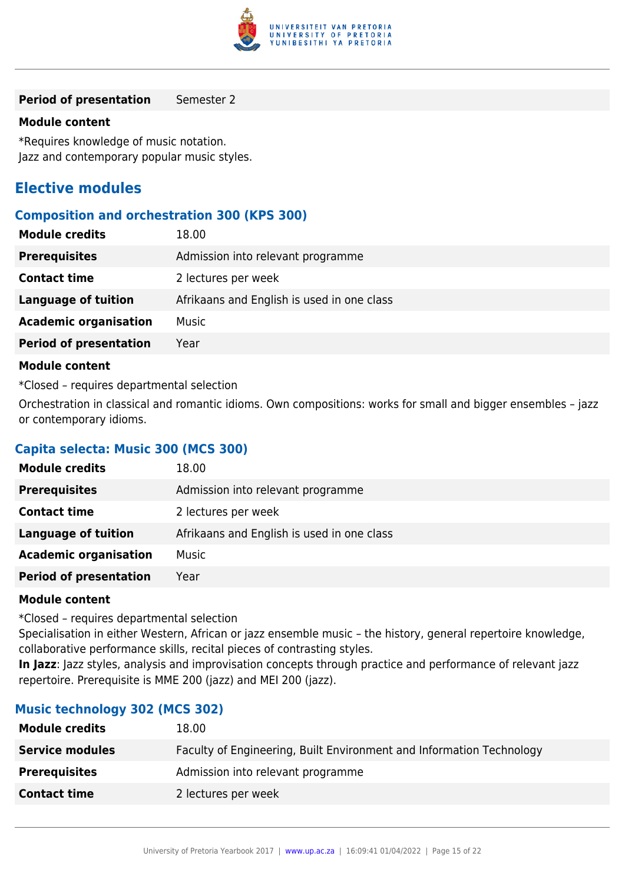

#### **Period of presentation** Semester 2

### **Module content**

\*Requires knowledge of music notation. Jazz and contemporary popular music styles.

### **Elective modules**

### **Composition and orchestration 300 (KPS 300)**

| <b>Module credits</b>         | 18.00                                      |
|-------------------------------|--------------------------------------------|
| <b>Prerequisites</b>          | Admission into relevant programme          |
| <b>Contact time</b>           | 2 lectures per week                        |
| Language of tuition           | Afrikaans and English is used in one class |
| <b>Academic organisation</b>  | Music                                      |
| <b>Period of presentation</b> | Year                                       |
|                               |                                            |

### **Module content**

\*Closed – requires departmental selection

Orchestration in classical and romantic idioms. Own compositions: works for small and bigger ensembles – jazz or contemporary idioms.

### **Capita selecta: Music 300 (MCS 300)**

| <b>Module credits</b>         | 18.00                                      |
|-------------------------------|--------------------------------------------|
| <b>Prerequisites</b>          | Admission into relevant programme          |
| <b>Contact time</b>           | 2 lectures per week                        |
| Language of tuition           | Afrikaans and English is used in one class |
| <b>Academic organisation</b>  | <b>Music</b>                               |
| <b>Period of presentation</b> | Year                                       |
|                               |                                            |

### **Module content**

\*Closed – requires departmental selection

Specialisation in either Western, African or jazz ensemble music – the history, general repertoire knowledge, collaborative performance skills, recital pieces of contrasting styles.

**In Jazz**: Jazz styles, analysis and improvisation concepts through practice and performance of relevant jazz repertoire. Prerequisite is MME 200 (jazz) and MEI 200 (jazz).

### **Music technology 302 (MCS 302)**

| <b>Module credits</b>  | 18.00                                                                |
|------------------------|----------------------------------------------------------------------|
| <b>Service modules</b> | Faculty of Engineering, Built Environment and Information Technology |
| <b>Prerequisites</b>   | Admission into relevant programme                                    |
| <b>Contact time</b>    | 2 lectures per week                                                  |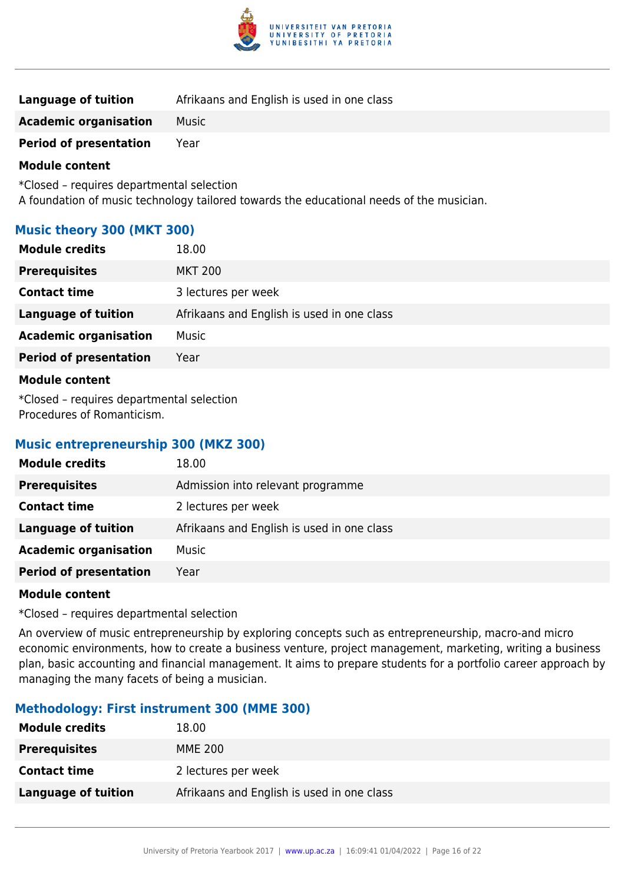

| Language of tuition           | Afrikaans and English is used in one class |
|-------------------------------|--------------------------------------------|
| <b>Academic organisation</b>  | Music                                      |
| <b>Period of presentation</b> | Year                                       |

\*Closed – requires departmental selection A foundation of music technology tailored towards the educational needs of the musician.

### **Music theory 300 (MKT 300)**

| <b>Module credits</b>                                                                                                                                                                                                           | 18.00                                      |
|---------------------------------------------------------------------------------------------------------------------------------------------------------------------------------------------------------------------------------|--------------------------------------------|
| <b>Prerequisites</b>                                                                                                                                                                                                            | <b>MKT 200</b>                             |
| <b>Contact time</b>                                                                                                                                                                                                             | 3 lectures per week                        |
| <b>Language of tuition</b>                                                                                                                                                                                                      | Afrikaans and English is used in one class |
| <b>Academic organisation</b>                                                                                                                                                                                                    | <b>Music</b>                               |
| <b>Period of presentation</b>                                                                                                                                                                                                   | Year                                       |
| <b>Module content</b>                                                                                                                                                                                                           |                                            |
| $\sim$ 2008 . The contract of the contract of the contract of the contract of the contract of the contract of the contract of the contract of the contract of the contract of the contract of the contract of the contract of t |                                            |

\*Closed – requires departmental selection Procedures of Romanticism.

### **Music entrepreneurship 300 (MKZ 300)**

| <b>Module credits</b>         | 18.00                                      |
|-------------------------------|--------------------------------------------|
| <b>Prerequisites</b>          | Admission into relevant programme          |
| <b>Contact time</b>           | 2 lectures per week                        |
| Language of tuition           | Afrikaans and English is used in one class |
| <b>Academic organisation</b>  | Music                                      |
| <b>Period of presentation</b> | Year                                       |
|                               |                                            |

### **Module content**

\*Closed – requires departmental selection

An overview of music entrepreneurship by exploring concepts such as entrepreneurship, macro-and micro economic environments, how to create a business venture, project management, marketing, writing a business plan, basic accounting and financial management. It aims to prepare students for a portfolio career approach by managing the many facets of being a musician.

### **Methodology: First instrument 300 (MME 300)**

| <b>Module credits</b> | 18.00                                      |
|-----------------------|--------------------------------------------|
| <b>Prerequisites</b>  | MME 200                                    |
| <b>Contact time</b>   | 2 lectures per week                        |
| Language of tuition   | Afrikaans and English is used in one class |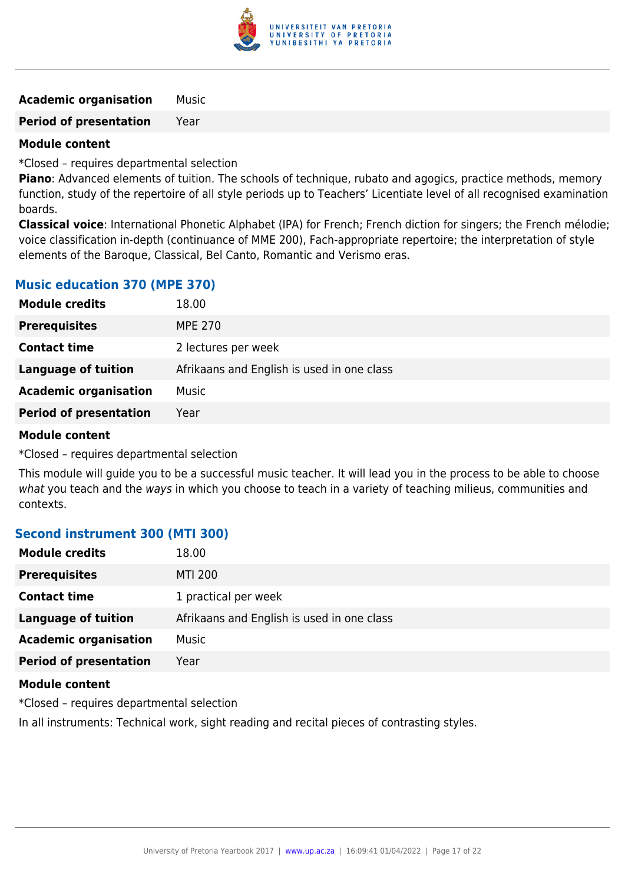

**Academic organisation** Music

**Period of presentation** Year

### **Module content**

\*Closed – requires departmental selection

**Piano**: Advanced elements of tuition. The schools of technique, rubato and agogics, practice methods, memory function, study of the repertoire of all style periods up to Teachers' Licentiate level of all recognised examination boards.

**Classical voice**: International Phonetic Alphabet (IPA) for French; French diction for singers; the French mélodie; voice classification in-depth (continuance of MME 200), Fach-appropriate repertoire; the interpretation of style elements of the Baroque, Classical, Bel Canto, Romantic and Verismo eras.

### **Music education 370 (MPE 370)**

| <b>Module credits</b>         | 18.00                                      |
|-------------------------------|--------------------------------------------|
| <b>Prerequisites</b>          | <b>MPE 270</b>                             |
| <b>Contact time</b>           | 2 lectures per week                        |
| Language of tuition           | Afrikaans and English is used in one class |
| <b>Academic organisation</b>  | Music                                      |
| <b>Period of presentation</b> | Year                                       |

### **Module content**

\*Closed – requires departmental selection

This module will guide you to be a successful music teacher. It will lead you in the process to be able to choose what you teach and the ways in which you choose to teach in a variety of teaching milieus, communities and contexts.

### **Second instrument 300 (MTI 300)**

| <b>Module credits</b>         | 18.00                                      |
|-------------------------------|--------------------------------------------|
| <b>Prerequisites</b>          | <b>MTI 200</b>                             |
| <b>Contact time</b>           | 1 practical per week                       |
| <b>Language of tuition</b>    | Afrikaans and English is used in one class |
| <b>Academic organisation</b>  | Music                                      |
| <b>Period of presentation</b> | Year                                       |
|                               |                                            |

### **Module content**

\*Closed – requires departmental selection

In all instruments: Technical work, sight reading and recital pieces of contrasting styles.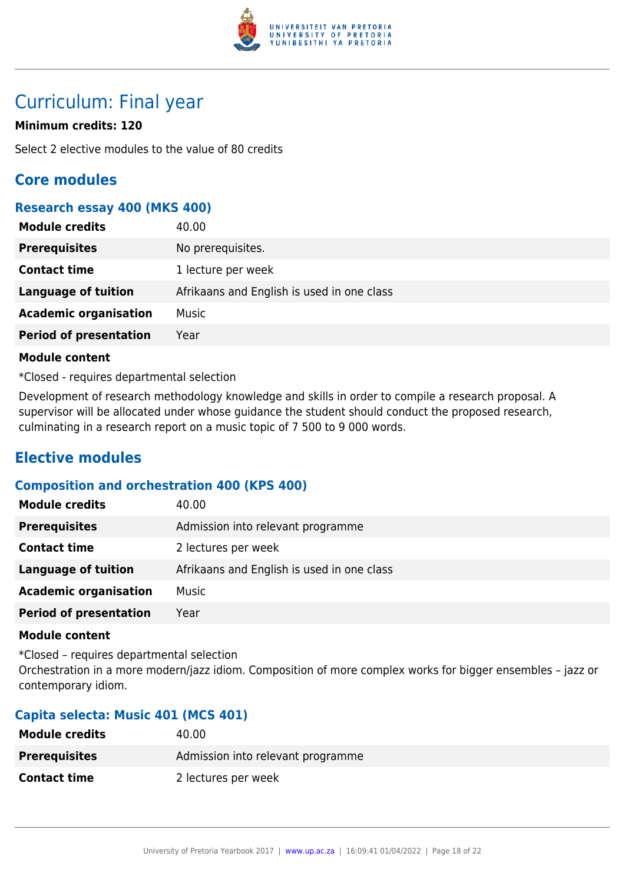

## Curriculum: Final year

### **Minimum credits: 120**

Select 2 elective modules to the value of 80 credits

### **Core modules**

### **Research essay 400 (MKS 400)**

| <b>Module credits</b>         | 40.00                                      |
|-------------------------------|--------------------------------------------|
| <b>Prerequisites</b>          | No prerequisites.                          |
| <b>Contact time</b>           | 1 lecture per week                         |
| Language of tuition           | Afrikaans and English is used in one class |
| <b>Academic organisation</b>  | Music                                      |
| <b>Period of presentation</b> | Year                                       |

### **Module content**

\*Closed - requires departmental selection

Development of research methodology knowledge and skills in order to compile a research proposal. A supervisor will be allocated under whose guidance the student should conduct the proposed research, culminating in a research report on a music topic of 7 500 to 9 000 words.

### **Elective modules**

### **Composition and orchestration 400 (KPS 400)**

| <b>Module credits</b>         | 40.00                                      |
|-------------------------------|--------------------------------------------|
| <b>Prerequisites</b>          | Admission into relevant programme          |
| <b>Contact time</b>           | 2 lectures per week                        |
| <b>Language of tuition</b>    | Afrikaans and English is used in one class |
| <b>Academic organisation</b>  | Music                                      |
| <b>Period of presentation</b> | Year                                       |

### **Module content**

\*Closed – requires departmental selection Orchestration in a more modern/jazz idiom. Composition of more complex works for bigger ensembles – jazz or contemporary idiom.

### **Capita selecta: Music 401 (MCS 401)**

| <b>Module credits</b> | 40.00                             |
|-----------------------|-----------------------------------|
| <b>Prerequisites</b>  | Admission into relevant programme |
| <b>Contact time</b>   | 2 lectures per week               |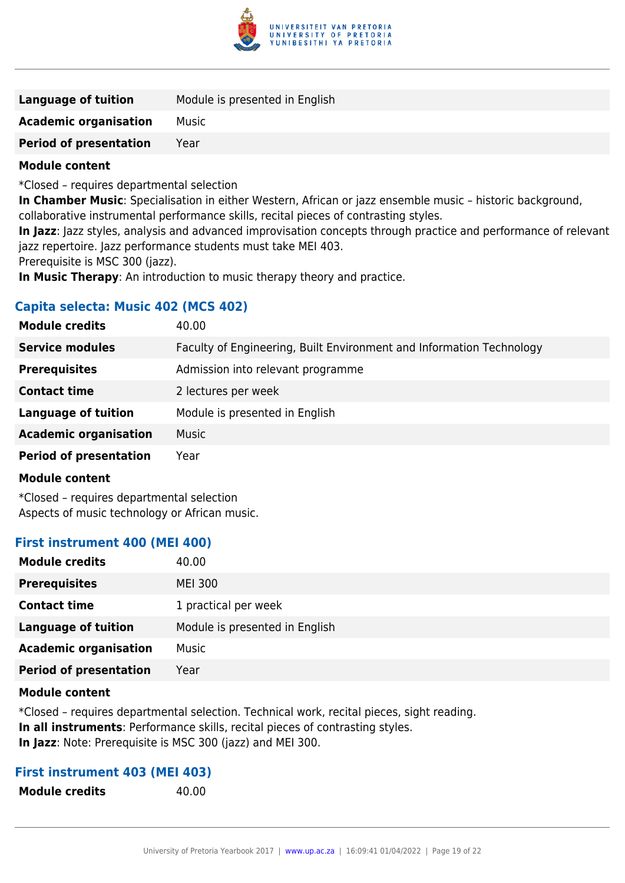

| Language of tuition                                                                                           | Module is presented in English |
|---------------------------------------------------------------------------------------------------------------|--------------------------------|
| <b>Academic organisation</b>                                                                                  | Music                          |
| <b>Period of presentation</b>                                                                                 | Year                           |
| Marado de la calculação de la calculação de la calculação de la calculação de la calculação de la contradicta |                                |

\*Closed – requires departmental selection

**In Chamber Music**: Specialisation in either Western, African or jazz ensemble music – historic background, collaborative instrumental performance skills, recital pieces of contrasting styles.

**In Jazz**: Jazz styles, analysis and advanced improvisation concepts through practice and performance of relevant jazz repertoire. Jazz performance students must take MEI 403.

Prerequisite is MSC 300 (jazz).

**In Music Therapy**: An introduction to music therapy theory and practice.

### **Capita selecta: Music 402 (MCS 402)**

| <b>Module credits</b>         | 40.00                                                                |
|-------------------------------|----------------------------------------------------------------------|
| <b>Service modules</b>        | Faculty of Engineering, Built Environment and Information Technology |
| <b>Prerequisites</b>          | Admission into relevant programme                                    |
| <b>Contact time</b>           | 2 lectures per week                                                  |
| <b>Language of tuition</b>    | Module is presented in English                                       |
| <b>Academic organisation</b>  | <b>Music</b>                                                         |
| <b>Period of presentation</b> | Year                                                                 |

### **Module content**

\*Closed – requires departmental selection Aspects of music technology or African music.

### **First instrument 400 (MEI 400)**

| <b>Module credits</b>         | 40.00                          |
|-------------------------------|--------------------------------|
| <b>Prerequisites</b>          | <b>MEI 300</b>                 |
| <b>Contact time</b>           | 1 practical per week           |
| <b>Language of tuition</b>    | Module is presented in English |
| <b>Academic organisation</b>  | Music                          |
| <b>Period of presentation</b> | Year                           |

### **Module content**

\*Closed – requires departmental selection. Technical work, recital pieces, sight reading. **In all instruments**: Performance skills, recital pieces of contrasting styles. **In Jazz**: Note: Prerequisite is MSC 300 (jazz) and MEI 300.

### **First instrument 403 (MEI 403)**

**Module credits** 40.00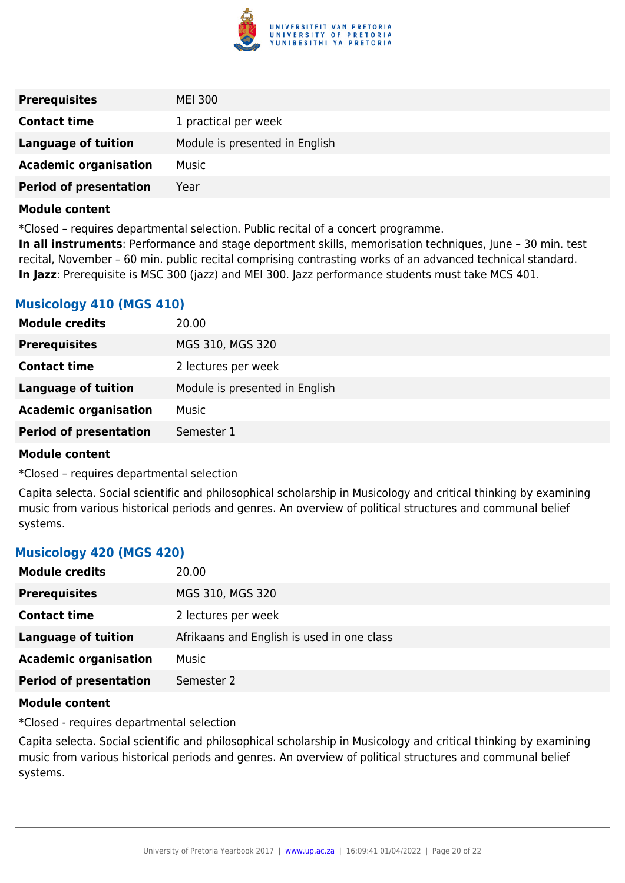

| <b>Prerequisites</b>          | MEI 300                        |
|-------------------------------|--------------------------------|
| <b>Contact time</b>           | 1 practical per week           |
| <b>Language of tuition</b>    | Module is presented in English |
| <b>Academic organisation</b>  | Music                          |
| <b>Period of presentation</b> | Year                           |

\*Closed – requires departmental selection. Public recital of a concert programme.

**In all instruments**: Performance and stage deportment skills, memorisation techniques, June – 30 min. test recital, November – 60 min. public recital comprising contrasting works of an advanced technical standard. **In Jazz**: Prerequisite is MSC 300 (jazz) and MEI 300. Jazz performance students must take MCS 401.

### **Musicology 410 (MGS 410)**

| <b>Module credits</b>         | 20.00                          |
|-------------------------------|--------------------------------|
| <b>Prerequisites</b>          | MGS 310, MGS 320               |
| <b>Contact time</b>           | 2 lectures per week            |
| <b>Language of tuition</b>    | Module is presented in English |
| <b>Academic organisation</b>  | Music                          |
| <b>Period of presentation</b> | Semester 1                     |
|                               |                                |

### **Module content**

\*Closed – requires departmental selection

Capita selecta. Social scientific and philosophical scholarship in Musicology and critical thinking by examining music from various historical periods and genres. An overview of political structures and communal belief systems.

### **Musicology 420 (MGS 420)**

| <b>Module credits</b>         | 20.00                                      |
|-------------------------------|--------------------------------------------|
| <b>Prerequisites</b>          | MGS 310, MGS 320                           |
| <b>Contact time</b>           | 2 lectures per week                        |
| <b>Language of tuition</b>    | Afrikaans and English is used in one class |
| <b>Academic organisation</b>  | Music                                      |
| <b>Period of presentation</b> | Semester 2                                 |

### **Module content**

\*Closed - requires departmental selection

Capita selecta. Social scientific and philosophical scholarship in Musicology and critical thinking by examining music from various historical periods and genres. An overview of political structures and communal belief systems.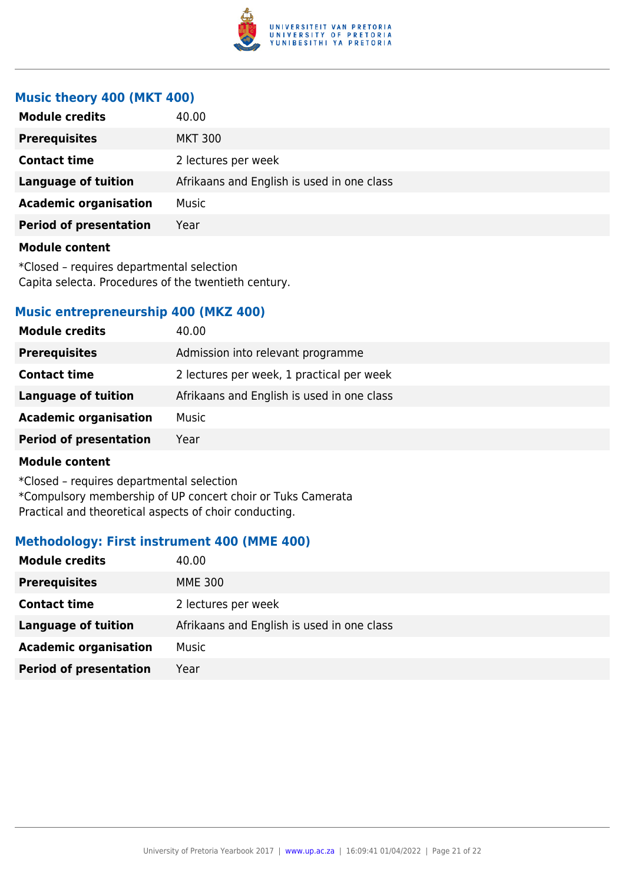

### **Music theory 400 (MKT 400)**

| <b>Module credits</b>         | 40.00                                      |
|-------------------------------|--------------------------------------------|
| <b>Prerequisites</b>          | <b>MKT 300</b>                             |
| <b>Contact time</b>           | 2 lectures per week                        |
| <b>Language of tuition</b>    | Afrikaans and English is used in one class |
| <b>Academic organisation</b>  | Music                                      |
| <b>Period of presentation</b> | Year                                       |
|                               |                                            |

### **Module content**

\*Closed – requires departmental selection Capita selecta. Procedures of the twentieth century.

### **Music entrepreneurship 400 (MKZ 400)**

| <b>Module credits</b>         | 40.00                                      |
|-------------------------------|--------------------------------------------|
| <b>Prerequisites</b>          | Admission into relevant programme          |
| <b>Contact time</b>           | 2 lectures per week, 1 practical per week  |
| Language of tuition           | Afrikaans and English is used in one class |
| <b>Academic organisation</b>  | Music                                      |
| <b>Period of presentation</b> | Year                                       |

### **Module content**

\*Closed – requires departmental selection \*Compulsory membership of UP concert choir or Tuks Camerata Practical and theoretical aspects of choir conducting.

### **Methodology: First instrument 400 (MME 400)**

| <b>Module credits</b>         | 40.00                                      |
|-------------------------------|--------------------------------------------|
| <b>Prerequisites</b>          | <b>MME 300</b>                             |
| <b>Contact time</b>           | 2 lectures per week                        |
| Language of tuition           | Afrikaans and English is used in one class |
| <b>Academic organisation</b>  | Music                                      |
| <b>Period of presentation</b> | Year                                       |